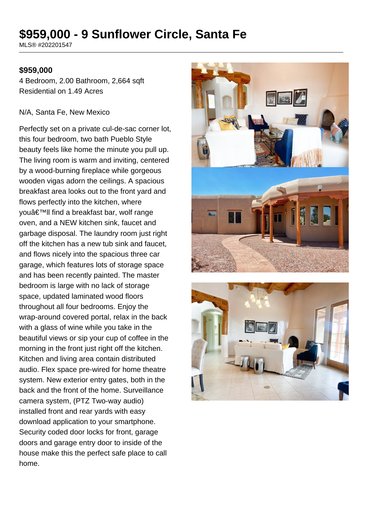# **\$959,000 - 9 Sunflower Circle, Santa Fe**

MLS® #202201547

#### **\$959,000**

4 Bedroom, 2.00 Bathroom, 2,664 sqft Residential on 1.49 Acres

#### N/A, Santa Fe, New Mexico

Perfectly set on a private cul-de-sac corner lot, this four bedroom, two bath Pueblo Style beauty feels like home the minute you pull up. The living room is warm and inviting, centered by a wood-burning fireplace while gorgeous wooden vigas adorn the ceilings. A spacious breakfast area looks out to the front yard and flows perfectly into the kitchen, where you'll find a breakfast bar, wolf range oven, and a NEW kitchen sink, faucet and garbage disposal. The laundry room just right off the kitchen has a new tub sink and faucet, and flows nicely into the spacious three car garage, which features lots of storage space and has been recently painted. The master bedroom is large with no lack of storage space, updated laminated wood floors throughout all four bedrooms. Enjoy the wrap-around covered portal, relax in the back with a glass of wine while you take in the beautiful views or sip your cup of coffee in the morning in the front just right off the kitchen. Kitchen and living area contain distributed audio. Flex space pre-wired for home theatre system. New exterior entry gates, both in the back and the front of the home. Surveillance camera system, (PTZ Two-way audio) installed front and rear yards with easy download application to your smartphone. Security coded door locks for front, garage doors and garage entry door to inside of the house make this the perfect safe place to call home.



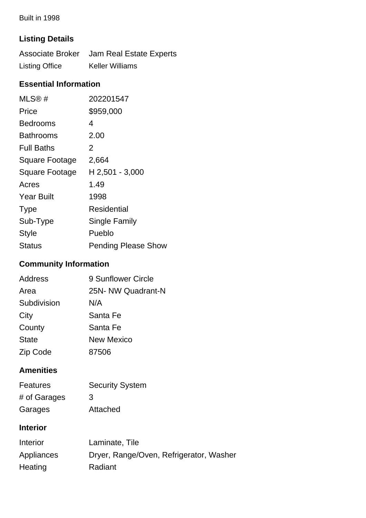Built in 1998

# **Listing Details**

|                       | Associate Broker Jam Real Estate Experts |
|-----------------------|------------------------------------------|
| <b>Listing Office</b> | <b>Keller Williams</b>                   |

### **Essential Information**

| MLS@#             | 202201547                  |
|-------------------|----------------------------|
| Price             | \$959,000                  |
| Bedrooms          | 4                          |
| Bathrooms         | 2.00                       |
| <b>Full Baths</b> | 2                          |
| Square Footage    | 2,664                      |
| Square Footage    | H 2,501 - 3,000            |
| Acres             | 1.49                       |
| <b>Year Built</b> | 1998                       |
| <b>Type</b>       | <b>Residential</b>         |
| Sub-Type          | Single Family              |
| <b>Style</b>      | Pueblo                     |
| <b>Status</b>     | <b>Pending Please Show</b> |

# **Community Information**

| Address      | 9 Sunflower Circle |
|--------------|--------------------|
| Area         | 25N- NW Quadrant-N |
| Subdivision  | N/A                |
| City         | Santa Fe           |
| County       | Santa Fe           |
| <b>State</b> | <b>New Mexico</b>  |
| Zip Code     | 87506              |

### **Amenities**

| <b>Features</b> | <b>Security System</b> |
|-----------------|------------------------|
| # of Garages    | 3                      |
| Garages         | Attached               |

### **Interior**

| <b>Interior</b> | Laminate, Tile                          |
|-----------------|-----------------------------------------|
| Appliances      | Dryer, Range/Oven, Refrigerator, Washer |
| Heating         | Radiant                                 |